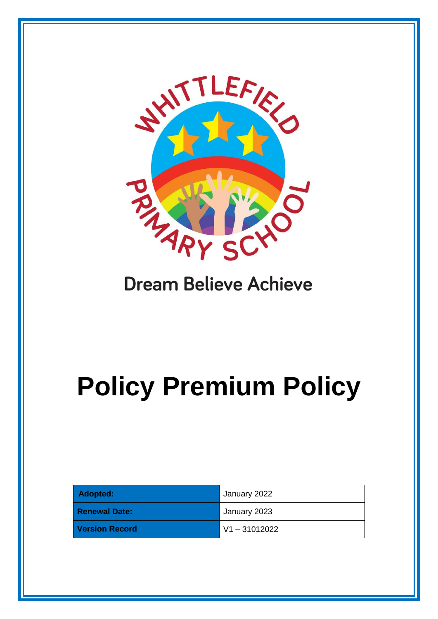

# **Dream Believe Achieve**

# **Policy Premium Policy**

| Adopted:              | January 2022    |
|-----------------------|-----------------|
| <b>Renewal Date:</b>  | January 2023    |
| <b>Version Record</b> | $V1 - 31012022$ |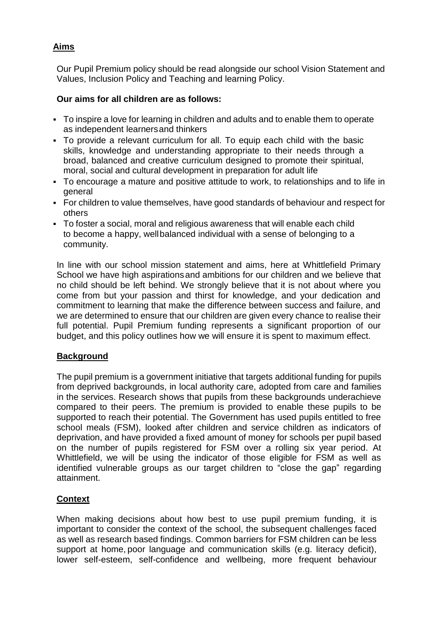# **Aims**

Our Pupil Premium policy should be read alongside our school Vision Statement and Values, Inclusion Policy and Teaching and learning Policy.

# **Our aims for all children are as follows:**

- To inspire a love for learning in children and adults and to enable them to operate as independent learnersand thinkers
- To provide a relevant curriculum for all. To equip each child with the basic skills, knowledge and understanding appropriate to their needs through a broad, balanced and creative curriculum designed to promote their spiritual, moral, social and cultural development in preparation for adult life
- To encourage a mature and positive attitude to work, to relationships and to life in general
- For children to value themselves, have good standards of behaviour and respect for others
- To foster a social, moral and religious awareness that will enable each child to become a happy, wellbalanced individual with a sense of belonging to a community.

In line with our school mission statement and aims, here at Whittlefield Primary School we have high aspirations and ambitions for our children and we believe that no child should be left behind. We strongly believe that it is not about where you come from but your passion and thirst for knowledge, and your dedication and commitment to learning that make the difference between success and failure, and we are determined to ensure that our children are given every chance to realise their full potential. Pupil Premium funding represents a significant proportion of our budget, and this policy outlines how we will ensure it is spent to maximum effect.

# **Background**

The pupil premium is a government initiative that targets additional funding for pupils from deprived backgrounds, in local authority care, adopted from care and families in the services. Research shows that pupils from these backgrounds underachieve compared to their peers. The premium is provided to enable these pupils to be supported to reach their potential. The Government has used pupils entitled to free school meals (FSM), looked after children and service children as indicators of deprivation, and have provided a fixed amount of money for schools per pupil based on the number of pupils registered for FSM over a rolling six year period. At Whittlefield, we will be using the indicator of those eligible for FSM as well as identified vulnerable groups as our target children to "close the gap" regarding attainment.

# **Context**

When making decisions about how best to use pupil premium funding, it is important to consider the context of the school, the subsequent challenges faced as well as research based findings. Common barriers for FSM children can be less support at home, poor language and communication skills (e.g. literacy deficit), lower self-esteem, self-confidence and wellbeing, more frequent behaviour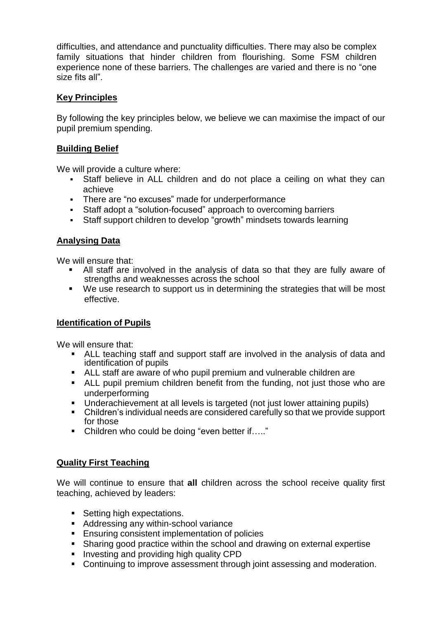difficulties, and attendance and punctuality difficulties. There may also be complex family situations that hinder children from flourishing. Some FSM children experience none of these barriers. The challenges are varied and there is no "one size fits all".

#### **Key Principles**

By following the key principles below, we believe we can maximise the impact of our pupil premium spending.

#### **Building Belief**

We will provide a culture where:

- Staff believe in ALL children and do not place a ceiling on what they can achieve
- There are "no excuses" made for underperformance
- Staff adopt a "solution-focused" approach to overcoming barriers
- Staff support children to develop "growth" mindsets towards learning

# **Analysing Data**

We will ensure that:

- All staff are involved in the analysis of data so that they are fully aware of strengths and weaknesses across the school
- We use research to support us in determining the strategies that will be most effective.

#### **Identification of Pupils**

We will ensure that:

- ALL teaching staff and support staff are involved in the analysis of data and identification of pupils
- ALL staff are aware of who pupil premium and vulnerable children are
- ALL pupil premium children benefit from the funding, not just those who are underperforming
- Underachievement at all levels is targeted (not just lower attaining pupils)
- Children's individual needs are considered carefully so that we provide support for those
- Children who could be doing "even better if….."

#### **Quality First Teaching**

We will continue to ensure that **all** children across the school receive quality first teaching, achieved by leaders:

- Setting high expectations.
- **Addressing any within-school variance**
- **Ensuring consistent implementation of policies**
- Sharing good practice within the school and drawing on external expertise
- **Investing and providing high quality CPD**
- Continuing to improve assessment through joint assessing and moderation.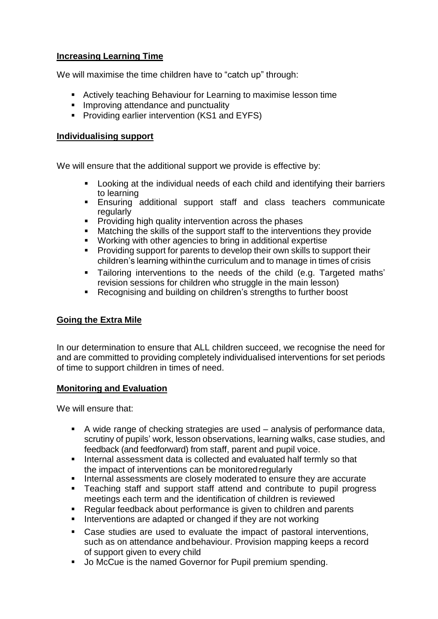#### **Increasing Learning Time**

We will maximise the time children have to "catch up" through:

- Actively teaching Behaviour for Learning to maximise lesson time
- **Improving attendance and punctuality**
- **Providing earlier intervention (KS1 and EYFS)**

#### **Individualising support**

We will ensure that the additional support we provide is effective by:

- Looking at the individual needs of each child and identifying their barriers to learning
- Ensuring additional support staff and class teachers communicate regularly
- **Providing high quality intervention across the phases**
- Matching the skills of the support staff to the interventions they provide
- Working with other agencies to bring in additional expertise
- **Providing support for parents to develop their own skills to support their** children's learning withinthe curriculum and to manage in times of crisis
- Tailoring interventions to the needs of the child (e.g. Targeted maths' revision sessions for children who struggle in the main lesson)
- Recognising and building on children's strengths to further boost

# **Going the Extra Mile**

In our determination to ensure that ALL children succeed, we recognise the need for and are committed to providing completely individualised interventions for set periods of time to support children in times of need.

#### **Monitoring and Evaluation**

We will ensure that:

- A wide range of checking strategies are used analysis of performance data, scrutiny of pupils' work, lesson observations, learning walks, case studies, and feedback (and feedforward) from staff, parent and pupil voice.
- **Internal assessment data is collected and evaluated half termly so that** the impact of interventions can be monitoredregularly
- **Internal assessments are closely moderated to ensure they are accurate**
- Teaching staff and support staff attend and contribute to pupil progress meetings each term and the identification of children is reviewed
- Regular feedback about performance is given to children and parents
- **Interventions are adapted or changed if they are not working**
- Case studies are used to evaluate the impact of pastoral interventions, such as on attendance andbehaviour. Provision mapping keeps a record of support given to every child
- Jo McCue is the named Governor for Pupil premium spending.